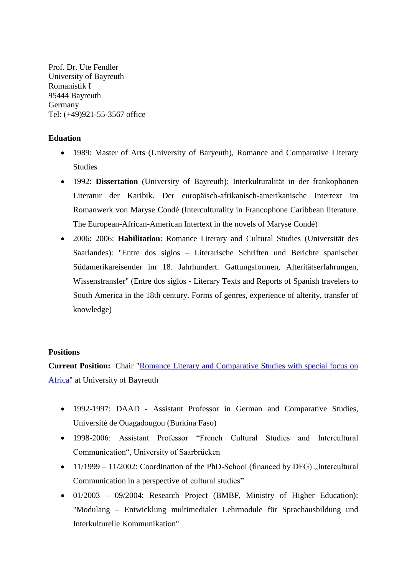Prof. Dr. Ute Fendler University of Bayreuth Romanistik I 95444 Bayreuth Germany Tel: (+49)921-55-3567 office

# **Eduation**

- 1989: Master of Arts (University of Baryeuth), Romance and Comparative Literary Studies
- 1992: **Dissertation** (University of Bayreuth): Interkulturalität in der frankophonen Literatur der Karibik. Der europäisch-afrikanisch-amerikanische Intertext im Romanwerk von Maryse Condé (Interculturality in Francophone Caribbean literature. The European-African-American Intertext in the novels of Maryse Condé)
- 2006: 2006: **Habilitation**: Romance Literary and Cultural Studies (Universität des Saarlandes): "Entre dos siglos – Literarische Schriften und Berichte spanischer Südamerikareisender im 18. Jahrhundert. Gattungsformen, Alteritätserfahrungen, Wissenstransfer" (Entre dos siglos - Literary Texts and Reports of Spanish travelers to South America in the 18th century. Forms of genres, experience of alterity, transfer of knowledge)

## **Positions**

**Current Position:** Chair ["Romance Literary and Comparative Studies with special focus on](https://www.romanistik1.uni-bayreuth.de/de/index.html)  [Africa"](https://www.romanistik1.uni-bayreuth.de/de/index.html) at University of Bayreuth

- 1992-1997: DAAD Assistant Professor in German and Comparative Studies, Université de Ouagadougou (Burkina Faso)
- 1998-2006: Assistant Professor "French Cultural Studies and Intercultural Communication", University of Saarbrücken
- $11/1999 11/2002$ : Coordination of the PhD-School (financed by DFG) "Intercultural Communication in a perspective of cultural studies"
- 01/2003 09/2004: Research Project (BMBF, Ministry of Higher Education): "Modulang – Entwicklung multimedialer Lehrmodule für Sprachausbildung und Interkulturelle Kommunikation"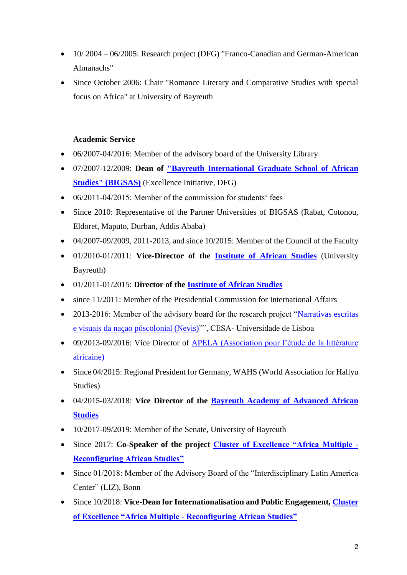- 10/ 2004 06/2005: Research project (DFG) "Franco-Canadian and German-American Almanachs"
- Since October 2006: Chair "Romance Literary and Comparative Studies with special focus on Africa" at University of Bayreuth

# **Academic Service**

- 06/2007-04/2016: Member of the advisory board of the University Library
- 07/2007-12/2009: **Dean of ["Bayreuth International Graduate School of African](https://www.bigsas.uni-bayreuth.de/en/index.html)  [Studies" \(BIGSAS\)](https://www.bigsas.uni-bayreuth.de/en/index.html)** (Excellence Initiative, DFG)
- 06/2011-04/2015: Member of the commission for students' fees
- Since 2010: Representative of the Partner Universities of BIGSAS (Rabat, Cotonou, Eldoret, Maputo, Durban, Addis Ababa)
- $\bullet$  04/2007-09/2009, 2011-2013, and since 10/2015: Member of the Council of the Faculty
- 01/2010-01/2011: **Vice-Director of the [Institute of African Studies](https://www.ias.uni-bayreuth.de/en/)** (University Bayreuth)
- 01/2011-01/2015: **Director of the [Institute of African Studies](https://www.ias.uni-bayreuth.de/en/)**
- since 11/2011: Member of the Presidential Commission for International Affairs
- 2013-2016: Member of the advisory board for the research project "Narrativas escritas" [e visuais da naçao póscolonial \(Nevis\)"](https://cesa.rc.iseg.ulisboa.pt/nilus/)", CESA- Universidade de Lisboa
- 09/2013-09/2016: Vice Director of **APELA** (Association pour l'étude de la littérature [africaine\)](http://www.apela.fr/)
- Since 04/2015: Regional President for Germany, WAHS (World Association for Hallyu Studies)
- 04/2015-03/2018: **Vice Director of the [Bayreuth Academy of Advanced African](https://www.bayreuth-academy.uni-bayreuth.de/en/index.html)  [Studies](https://www.bayreuth-academy.uni-bayreuth.de/en/index.html)**
- 10/2017-09/2019: Member of the Senate, University of Bayreuth
- Since 2017: **Co-Speaker of the project [Cluster of Excellence "Africa Multiple -](https://www.africamultiple.uni-bayreuth.de/en/index.html) [Reconfiguring African Studies"](https://www.africamultiple.uni-bayreuth.de/en/index.html)**
- Since 01/2018: Member of the Advisory Board of the "Interdisciplinary Latin America Center" (LIZ), Bonn
- Since 10/2018: **Vice-Dean for Internationalisation and Public Engagement, [Cluster](https://www.africamultiple.uni-bayreuth.de/en/index.html)  [of Excellence "Africa Multiple -](https://www.africamultiple.uni-bayreuth.de/en/index.html) Reconfiguring African Studies"**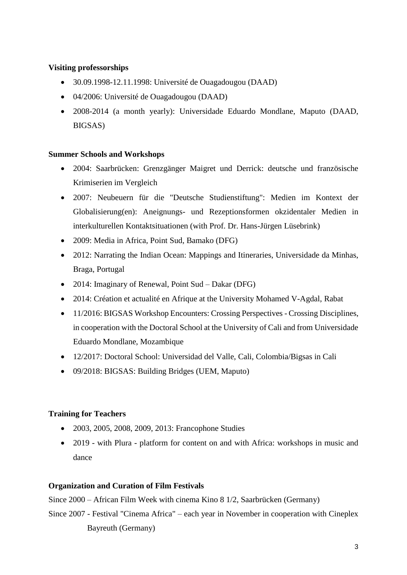# **Visiting professorships**

- 30.09.1998-12.11.1998: Université de Ouagadougou (DAAD)
- 04/2006: Université de Ouagadougou (DAAD)
- 2008-2014 (a month yearly): Universidade Eduardo Mondlane, Maputo (DAAD, BIGSAS)

# **Summer Schools and Workshops**

- 2004: Saarbrücken: Grenzgänger Maigret und Derrick: deutsche und französische Krimiserien im Vergleich
- 2007: Neubeuern für die "Deutsche Studienstiftung": Medien im Kontext der Globalisierung(en): Aneignungs- und Rezeptionsformen okzidentaler Medien in interkulturellen Kontaktsituationen (with Prof. Dr. Hans-Jürgen Lüsebrink)
- 2009: Media in Africa, Point Sud, Bamako (DFG)
- 2012: Narrating the Indian Ocean: Mappings and Itineraries, Universidade da Minhas, Braga, Portugal
- 2014: Imaginary of Renewal, Point Sud Dakar (DFG)
- 2014: Création et actualité en Afrique at the University Mohamed V-Agdal, Rabat
- 11/2016: BIGSAS Workshop Encounters: Crossing Perspectives Crossing Disciplines, in cooperation with the Doctoral School at the University of Cali and from Universidade Eduardo Mondlane, Mozambique
- 12/2017: Doctoral School: Universidad del Valle, Cali, Colombia/Bigsas in Cali
- 09/2018: BIGSAS: Building Bridges (UEM, Maputo)

# **Training for Teachers**

- 2003, 2005, 2008, 2009, 2013: Francophone Studies
- 2019 with Plura platform for content on and with Africa: workshops in music and dance

# **Organization and Curation of Film Festivals**

Since 2000 – African Film Week with cinema Kino 8 1/2, Saarbrücken (Germany)

Since 2007 - Festival "Cinema Africa" – each year in November in cooperation with Cineplex Bayreuth (Germany)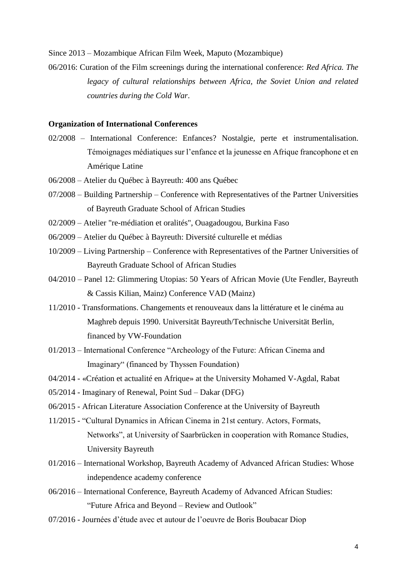Since 2013 – Mozambique African Film Week, Maputo (Mozambique)

06/2016: Curation of the Film screenings during the international conference: *Red Africa. The legacy of cultural relationships between Africa, the Soviet Union and related countries during the Cold War*.

### **Organization of International Conferences**

- 02/2008 International Conference: Enfances? Nostalgie, perte et instrumentalisation. Témoignages médiatiques sur l'enfance et la jeunesse en Afrique francophone et en Amérique Latine
- 06/2008 Atelier du Québec à Bayreuth: 400 ans Québec
- 07/2008 Building Partnership Conference with Representatives of the Partner Universities of Bayreuth Graduate School of African Studies
- 02/2009 Atelier "re-médiation et oralités", Ouagadougou, Burkina Faso
- 06/2009 Atelier du Québec à Bayreuth: Diversité culturelle et médias
- 10/2009 Living Partnership Conference with Representatives of the Partner Universities of Bayreuth Graduate School of African Studies
- 04/2010 Panel 12: [Glimmering Utopias: 50 Years of African Movie](http://www.vad-ev.de/2010/index.php/de/panels/panellist/37-abstract-einreichen) (Ute Fendler, Bayreuth & Cassis Kilian, Mainz) Conference VAD (Mainz)
- 11/2010 Transformations. Changements et renouveaux dans la littérature et le cinéma au Maghreb depuis 1990. Universität Bayreuth/Technische Universität Berlin, financed by VW-Foundation
- 01/2013 International Conference "Archeology of the Future: African Cinema and Imaginary" (financed by Thyssen Foundation)
- 04/2014 «Création et actualité en Afrique» at the University Mohamed V-Agdal, Rabat
- 05/2014 Imaginary of Renewal, Point Sud Dakar (DFG)
- 06/2015 African Literature Association Conference at the University of Bayreuth
- 11/2015 "Cultural Dynamics in African Cinema in 21st century. Actors, Formats, Networks", at University of Saarbrücken in cooperation with Romance Studies, University Bayreuth
- 01/2016 International Workshop, Bayreuth Academy of Advanced African Studies: Whose independence academy conference
- 06/2016 International Conference, Bayreuth Academy of Advanced African Studies: "Future Africa and Beyond – Review and Outlook"
- 07/2016 Journées d'étude avec et autour de l'oeuvre de Boris Boubacar Diop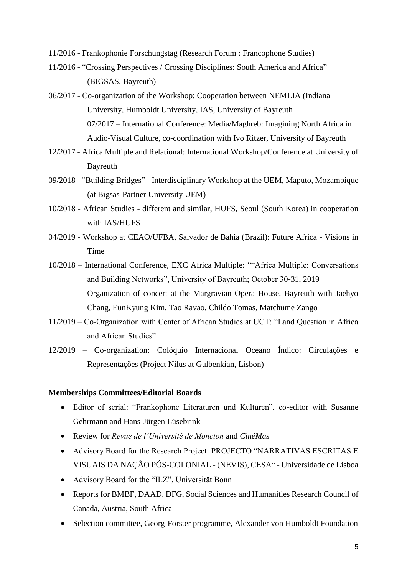- 11/2016 Frankophonie Forschungstag (Research Forum : Francophone Studies)
- 11/2016 "Crossing Perspectives / Crossing Disciplines: South America and Africa" (BIGSAS, Bayreuth)
- 06/2017 Co-organization of the Workshop: Cooperation between NEMLIA (Indiana University, Humboldt University, IAS, University of Bayreuth 07/2017 – International Conference: Media/Maghreb: Imagining North Africa in Audio-Visual Culture, co-coordination with Ivo Ritzer, University of Bayreuth
- 12/2017 Africa Multiple and Relational: International Workshop/Conference at University of Bayreuth
- 09/2018 "Building Bridges" Interdisciplinary Workshop at the UEM, Maputo, Mozambique (at Bigsas-Partner University UEM)
- 10/2018 African Studies different and similar, HUFS, Seoul (South Korea) in cooperation with IAS/HUFS
- 04/2019 Workshop at CEAO/UFBA, Salvador de Bahia (Brazil): Future Africa Visions in Time
- 10/2018 International Conference, EXC Africa Multiple: ""Africa Multiple: Conversations and Building Networks", University of Bayreuth; October 30-31, 2019 Organization of concert at the Margravian Opera House, Bayreuth with Jaehyo Chang, EunKyung Kim, Tao Ravao, Childo Tomas, Matchume Zango
- 11/2019 Co-Organization with Center of African Studies at UCT: "Land Question in Africa and African Studies"
- 12/2019 Co-organization: Colóquio Internacional Oceano Índico: Circulações e Representações (Project Nilus at Gulbenkian, Lisbon)

### **Memberships Committees/Editorial Boards**

- Editor of serial: "Frankophone Literaturen und Kulturen", co-editor with Susanne Gehrmann and Hans-Jürgen Lüsebrink
- Review for *Revue de l'Université de Moncton* and *CinéMas*
- Advisory Board for the Research Project: PROJECTO "NARRATIVAS ESCRITAS E VISUAIS DA NAÇÃO PÓS-COLONIAL - (NEVIS), CESA" - Universidade de Lisboa
- Advisory Board for the "ILZ", Universität Bonn
- Reports for BMBF, DAAD, DFG, [Social Sciences and Humanities Research Council](http://www.sshrc-crsh.gc.ca/home-accueil-eng.aspx) of [Canada,](http://www.sshrc-crsh.gc.ca/home-accueil-eng.aspx) Austria, South Africa
- Selection committee, Georg-Forster programme, Alexander von Humboldt Foundation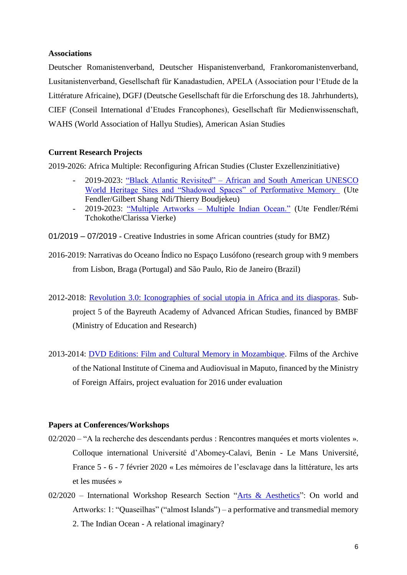## **Associations**

Deutscher Romanistenverband, Deutscher Hispanistenverband, Frankoromanistenverband, Lusitanistenverband, Gesellschaft für Kanadastudien, APELA (Association pour l'Etude de la Littérature Africaine), DGFJ (Deutsche Gesellschaft für die Erforschung des 18. Jahrhunderts), CIEF (Conseil International d'Etudes Francophones), Gesellschaft für Medienwissenschaft, WAHS (World Association of Hallyu Studies), American Asian Studies

### **Current Research Projects**

2019-2026: Africa Multiple: Reconfiguring African Studies (Cluster Exzellenzinitiative)

- 2019-2023: "Black Atlantic Revisited" [African and South American UNESCO](https://www.africamultiple.uni-bayreuth.de/en/Research/1research-sections/art_aestethics/Black-Atlantic-Revisited/index.html)  [World Heritage Sites and "Shadowed Spaces" of Performative Memory](https://www.africamultiple.uni-bayreuth.de/en/Research/1research-sections/art_aestethics/Black-Atlantic-Revisited/index.html) (Ute Fendler/Gilbert Shang Ndi/Thierry Boudjekeu)
- 2019-2023: "Multiple Artworks [Multiple Indian Ocean."](https://www.africamultiple.uni-bayreuth.de/en/Research/1research-sections/art_aestethics/Multiple-Artworks---Multiple-Indian-Ocean/index.html) (Ute Fendler/Rémi Tchokothe/Clarissa Vierke)

01/2019 – 07/2019 - Creative Industries in some African countries (study for BMZ)

- 2016-2019: Narrativas do Oceano Índico no Espaço Lusófono (research group with 9 members from Lisbon, Braga (Portugal) and São Paulo, Rio de Janeiro (Brazil)
- 2012-2018: [Revolution 3.0: Iconographies of social utopia in Africa and its diasporas.](https://www.bayreuth-academy-futureafrica.uni-bayreuth.de/en/teilprojekt/revolution_3_0/index.html) Subproject 5 of the Bayreuth Academy of Advanced African Studies, financed by BMBF (Ministry of Education and Research)
- 2013-2014: [DVD Editions: Film and Cultural Memory in Mozambique.](http://www.arcadia-film.de/en/projects/multimedia_installation) Films of the Archive of the National Institute of Cinema and Audiovisual in Maputo, financed by the Ministry of Foreign Affairs, project evaluation for 2016 under evaluation

### **Papers at Conferences/Workshops**

- 02/2020 "A la recherche des descendants perdus : Rencontres manquées et morts violentes ». Colloque international Université d'Abomey-Calavi, Benin - Le Mans Université, France 5 - 6 - 7 février 2020 « Les mémoires de l'esclavage dans la littérature, les arts et les musées »
- 02/2020 International Workshop Research Section ["Arts & Aesthetics"](https://www.africamultiple.uni-bayreuth.de/en/Research/1research-sections/art_aestethics/index.html): On world and Artworks: 1: "Quaseilhas" ("almost Islands") – a performative and transmedial memory 2. The Indian Ocean - A relational imaginary?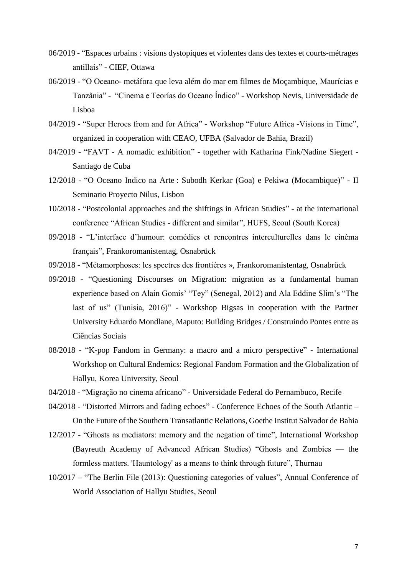- 06/2019 "Espaces urbains : visions dystopiques et violentes dans des textes et courts-métrages antillais" - CIEF, Ottawa
- 06/2019 "O Oceano- metáfora que leva além do mar em filmes de Moçambique, Maurícias e Tanzânia" - "Cinema e Teorías do Oceano Índico" - Workshop Nevis, Universidade de Lisboa
- 04/2019 "Super Heroes from and for Africa" Workshop "Future Africa -Visions in Time", organized in cooperation with CEAO, UFBA (Salvador de Bahia, Brazil)
- 04/2019 "FAVT A nomadic exhibition" together with Katharina Fink/Nadine Siegert Santiago de Cuba
- 12/2018 "O Oceano Indico na Arte : Subodh Kerkar (Goa) e Pekiwa (Mocambique)" II Seminario Proyecto Nilus, Lisbon
- 10/2018 "Postcolonial approaches and the shiftings in African Studies" at the international conference "African Studies - different and similar", HUFS, Seoul (South Korea)
- 09/2018 "L'interface d'humour: comédies et rencontres interculturelles dans le cinéma français", Frankoromanistentag, Osnabrück
- 09/2018 "Métamorphoses: les spectres des frontières », Frankoromanistentag, Osnabrück
- 09/2018 "Questioning Discourses on Migration: migration as a fundamental human experience based on Alain Gomis' "Tey" (Senegal, 2012) and Ala Eddine Slim's "The last of us" (Tunisia, 2016)" - Workshop Bigsas in cooperation with the Partner University Eduardo Mondlane, Maputo: Building Bridges / Construindo Pontes entre as Ciências Sociais
- 08/2018 "K-pop Fandom in Germany: a macro and a micro perspective" International Workshop on Cultural Endemics: Regional Fandom Formation and the Globalization of Hallyu, Korea University, Seoul
- 04/2018 "Migração no cinema africano" Universidade Federal do Pernambuco, Recife
- 04/2018 "Distorted Mirrors and fading echoes" Conference Echoes of the South Atlantic On the Future of the Southern Transatlantic Relations, Goethe Institut Salvador de Bahia
- 12/2017 "Ghosts as mediators: memory and the negation of time", International Workshop (Bayreuth Academy of Advanced African Studies) "Ghosts and Zombies — the formless matters. 'Hauntology' as a means to think through future", Thurnau
- 10/2017 "The Berlin File (2013): Questioning categories of values", Annual Conference of World Association of Hallyu Studies, Seoul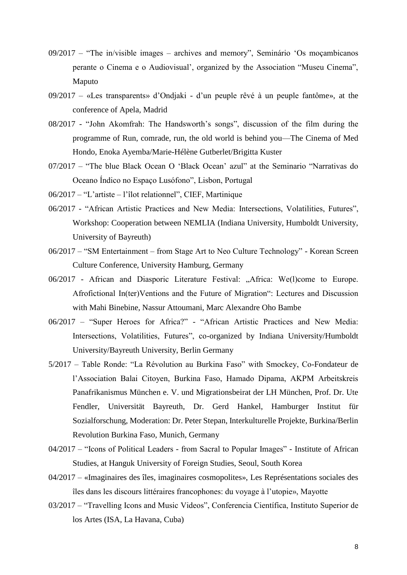- 09/2017 "The in/visible images archives and memory", Seminário 'Os moçambicanos perante o Cinema e o Audiovisual', organized by the Association "Museu Cinema", Maputo
- 09/2017 «Les transparents» d'Ondjaki d'un peuple rêvé à un peuple fantôme», at the conference of Apela, Madrid
- 08/2017 "John Akomfrah: The Handsworth's songs", discussion of the film during the programme of Run, comrade, run, the old world is behind you—The Cinema of Med Hondo, Enoka Ayemba/Marie-Hélène Gutberlet/Brigitta Kuster
- 07/2017 "The blue Black Ocean O 'Black Ocean' azul" at the Seminario "Narrativas do Oceano Índico no Espaço Lusófono", Lisbon, Portugal
- 06/2017 "L'artiste l'îlot relationnel", CIEF, Martinique
- 06/2017 "African Artistic Practices and New Media: Intersections, Volatilities, Futures", Workshop: Cooperation between NEMLIA (Indiana University, Humboldt University, University of Bayreuth)
- 06/2017 "SM Entertainment from Stage Art to Neo Culture Technology" Korean Screen Culture Conference, University Hamburg, Germany
- 06/2017 African and Diasporic Literature Festival: "Africa: We(l)come to Europe. Afrofictional In(ter)Ventions and the Future of Migration": Lectures and Discussion with Mahi Binebine, Nassur Attoumani, Marc Alexandre Oho Bambe
- 06/2017 "Super Heroes for Africa?" "African Artistic Practices and New Media: Intersections, Volatilities, Futures", co-organized by Indiana University/Humboldt University/Bayreuth University, Berlin Germany
- 5/2017 Table Ronde: "La Révolution au Burkina Faso" with Smockey, Co-Fondateur de l'Association Balai Citoyen, Burkina Faso, Hamado Dipama, AKPM Arbeitskreis Panafrikanismus München e. V. und Migrationsbeirat der LH München, Prof. Dr. Ute Fendler, Universität Bayreuth, Dr. Gerd Hankel, Hamburger Institut für Sozialforschung, Moderation: Dr. Peter Stepan, Interkulturelle Projekte, Burkina/Berlin Revolution Burkina Faso, Munich, Germany
- 04/2017 "Icons of Political Leaders from Sacral to Popular Images" Institute of African Studies, at Hanguk University of Foreign Studies, Seoul, South Korea
- 04/2017 «Imaginaires des îles, imaginaires cosmopolites», Les Représentations sociales des îles dans les discours littéraires francophones: du voyage à l'utopie», Mayotte
- 03/2017 "Travelling Icons and Music Videos", Conferencia Científica, Instituto Superior de los Artes (ISA, La Havana, Cuba)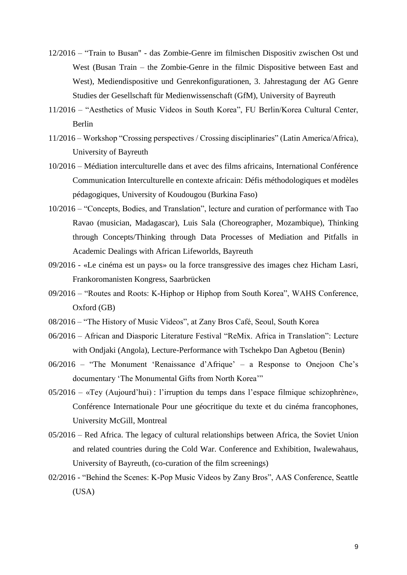- 12/2016 "Train to Busan" das Zombie-Genre im filmischen Dispositiv zwischen Ost und West (Busan Train – the Zombie-Genre in the filmic Dispositive between East and West), Mediendispositive und Genrekonfigurationen, 3. Jahrestagung der AG Genre Studies der Gesellschaft für Medienwissenschaft (GfM), University of Bayreuth
- 11/2016 "Aesthetics of Music Videos in South Korea", FU Berlin/Korea Cultural Center, Berlin
- 11/2016 Workshop "Crossing perspectives / Crossing disciplinaries" (Latin America/Africa), University of Bayreuth
- 10/2016 Médiation interculturelle dans et avec des films africains, International Conférence Communication Interculturelle en contexte africain: Défis méthodologiques et modèles pédagogiques, University of Koudougou (Burkina Faso)
- 10/2016 "Concepts, Bodies, and Translation", lecture and curation of performance with Tao Ravao (musician, Madagascar), Luis Sala (Choreographer, Mozambique), Thinking through Concepts/Thinking through Data Processes of Mediation and Pitfalls in Academic Dealings with African Lifeworlds, Bayreuth
- 09/2016 «Le cinéma est un pays» ou la force transgressive des images chez Hicham Lasri, Frankoromanisten Kongress, Saarbrücken
- 09/2016 "Routes and Roots: K-Hiphop or Hiphop from South Korea", WAHS Conference, Oxford (GB)
- 08/2016 "The History of Music Videos", at Zany Bros Café, Seoul, South Korea
- 06/2016 African and Diasporic Literature Festival "ReMix. Africa in Translation": Lecture with Ondjaki (Angola), Lecture-Performance with Tschekpo Dan Agbetou (Benin)
- 06/2016 "The Monument 'Renaissance d'Afrique' a Response to Onejoon Che's documentary 'The Monumental Gifts from North Korea'"
- 05/2016 «Tey (Aujourd'hui) : l'irruption du temps dans l'espace filmique schizophrène», Conférence Internationale Pour une géocritique du texte et du cinéma francophones, University McGill, Montreal
- 05/2016 Red Africa. The legacy of cultural relationships between Africa, the Soviet Union and related countries during the Cold War. Conference and Exhibition, Iwalewahaus, University of Bayreuth, (co-curation of the film screenings)
- 02/2016 "Behind the Scenes: K-Pop Music Videos by Zany Bros", AAS Conference, Seattle (USA)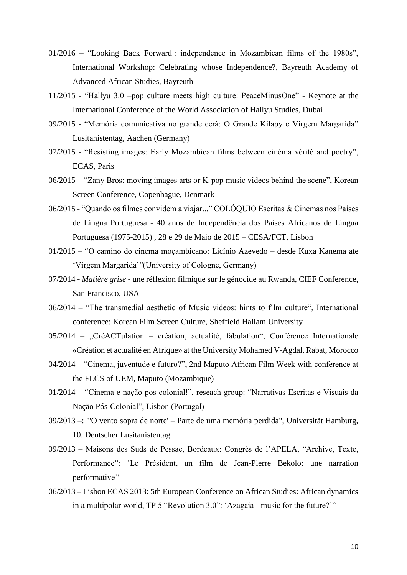- 01/2016 "Looking Back Forward : independence in Mozambican films of the 1980s", International Workshop: Celebrating whose Independence?, Bayreuth Academy of Advanced African Studies, Bayreuth
- 11/2015 "Hallyu 3.0 –pop culture meets high culture: PeaceMinusOne" Keynote at the International Conference of the World Association of Hallyu Studies, Dubai
- 09/2015 "Memória comunicativa no grande ecrã: O Grande Kilapy e Virgem Margarida" Lusitanistentag, Aachen (Germany)
- 07/2015 "Resisting images: Early Mozambican films between cinéma vérité and poetry", ECAS, Paris
- 06/2015 "Zany Bros: moving images arts or K-pop music videos behind the scene", Korean Screen Conference, Copenhague, Denmark
- 06/2015 "Quando os filmes convidem a viajar..." COLÓQUIO Escritas & Cinemas nos Países de Língua Portuguesa - 40 anos de Independência dos Países Africanos de Língua Portuguesa (1975-2015) , 28 e 29 de Maio de 2015 – CESA/FCT, Lisbon
- 01/2015 "O camino do cinema moçambicano: Licínio Azevedo desde Kuxa Kanema ate 'Virgem Margarida'"(University of Cologne, Germany)
- 07/2014 *Matière grise* une réflexion filmique sur le génocide au Rwanda, CIEF Conference, San Francisco, USA
- 06/2014 "The transmedial aesthetic of Music videos: hints to film culture", International conference: Korean Film Screen Culture, Sheffield Hallam University
- $05/2014$  "CréACTulation création, actualité, fabulation", Conférence Internationale «Création et actualité en Afrique» at the University Mohamed V-Agdal, Rabat, Morocco
- 04/2014 "Cinema, juventude e futuro?", 2nd Maputo African Film Week with conference at the FLCS of UEM, Maputo (Mozambique)
- 01/2014 "Cinema e nação pos-colonial!", reseach group: "Narrativas Escritas e Visuais da Nação Pós-Colonial", Lisbon (Portugal)
- 09/2013 –: "'O vento sopra de norte' Parte de uma memória perdida", Universität Hamburg, 10. Deutscher Lusitanistentag
- 09/2013 Maisons des Suds de Pessac, Bordeaux: Congrès de l'APELA, "Archive, Texte, Performance": 'Le Président, un film de Jean-Pierre Bekolo: une narration performative'"
- 06/2013 Lisbon ECAS 2013: 5th European Conference on African Studies: African dynamics in a multipolar world, TP 5 "Revolution 3.0": 'Azagaia - music for the future?'"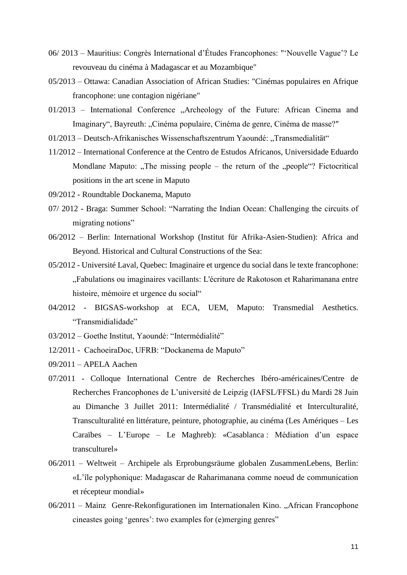- 06/ 2013 Mauritius: Congrès International d'Études Francophones: "'Nouvelle Vague'? Le revouveau du cinéma à Madagascar et au Mozambique"
- 05/2013 Ottawa: Canadian Association of African Studies: "Cinémas populaires en Afrique francophone: une contagion nigériane"
- 01/2013 International Conference "Archeology of the Future: African Cinema and Imaginary", Bayreuth: "Cinéma populaire, Cinéma de genre, Cinéma de masse?"
- 01/2013 Deutsch-Afrikanisches Wissenschaftszentrum Yaoundé: "Transmedialität"
- 11/2012 International Conference at the Centro de Estudos Africanos, Universidade Eduardo Mondlane Maputo: "The missing people – the return of the "people"? Fictocritical positions in the art scene in Maputo
- 09/2012 Roundtable Dockanema, Maputo
- 07/ 2012 Braga: Summer School: "Narrating the Indian Ocean: Challenging the circuits of migrating notions"
- 06/2012 Berlin: International Workshop (Institut für Afrika-Asien-Studien): Africa and Beyond. Historical and Cultural Constructions of the Sea:
- 05/2012 Université Laval, Quebec: Imaginaire et urgence du social dans le texte francophone: "Fabulations ou imaginaires vacillants: L'écriture de Rakotoson et Raharimanana entre histoire, mémoire et urgence du social"
- 04/2012 BIGSAS-workshop at ECA, UEM, Maputo: Transmedial Aesthetics. "Transmidialidade"
- 03/2012 Goethe Institut, Yaoundé: "Intermédialité"
- 12/2011 CachoeiraDoc, UFRB: "Dockanema de Maputo"
- 09/2011 APELA Aachen
- 07/2011 Colloque International Centre de Recherches Ibéro-américaines/Centre de Recherches Francophones de L'université de Leipzig (IAFSL/FFSL) du Mardi 28 Juin au Dimanche 3 Juillet 2011: Intermédialité / Transmédialité et Interculturalité, Transculturalité en littérature, peinture, photographie, au cinéma (Les Amériques – Les Caraïbes – L'Europe – Le Maghreb): «Casablanca : Médiation d'un espace transculturel»
- 06/2011 Weltweit Archipele als Erprobungsräume globalen ZusammenLebens, Berlin: «L'île polyphonique: Madagascar de Raharimanana comme noeud de communication et récepteur mondial»
- 06/2011 Mainz Genre-Rekonfigurationen im Internationalen Kino. "African Francophone cineastes going 'genres': two examples for (e)merging genres"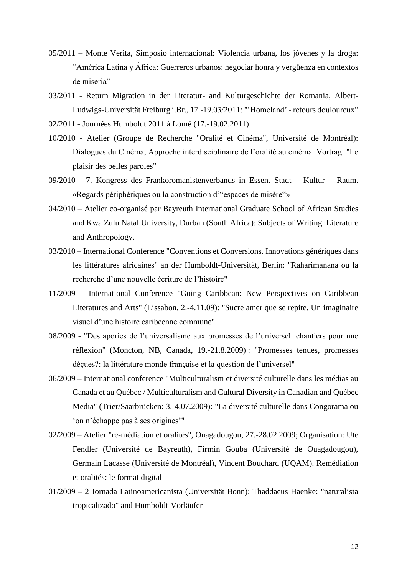- 05/2011 Monte Verita, Simposio internacional: Violencia urbana, los jóvenes y la droga: "América Latina y África: Guerreros urbanos: negociar honra y vergüenza en contextos de miseria"
- 03/2011 Return Migration in der Literatur- and Kulturgeschichte der Romania, Albert-Ludwigs-Universität Freiburg i.Br., 17.-19.03/2011: "'Homeland' - retours douloureux"
- 02/2011 Journées Humboldt 2011 à Lomé (17.-19.02.2011)
- 10/2010 Atelier (Groupe de Recherche "Oralité et Cinéma", Université de Montréal): Dialogues du Cinéma, Approche interdisciplinaire de l'oralité au cinéma. Vortrag: "Le plaisir des belles paroles"
- 09/2010 7. Kongress des Frankoromanistenverbands in Essen. Stadt Kultur Raum. «Regards périphériques ou la construction d'"espaces de misère"»
- 04/2010 Atelier co-organisé par Bayreuth International Graduate School of African Studies and Kwa Zulu Natal University, Durban (South Africa): Subjects of Writing. Literature and Anthropology.
- 03/2010 International Conference "Conventions et Conversions. Innovations génériques dans les littératures africaines" an der Humboldt-Universität, Berlin: "Raharimanana ou la recherche d'une nouvelle écriture de l'histoire"
- 11/2009 International Conference "Going Caribbean: New Perspectives on Caribbean Literatures and Arts" (Lissabon, 2.-4.11.09): "Sucre amer que se repite. Un imaginaire visuel d'une histoire caribéenne commune"
- 08/2009 "Des apories de l'universalisme aux promesses de l'universel: chantiers pour une réflexion" (Moncton, NB, Canada, 19.-21.8.2009) : "Promesses tenues, promesses déçues?: la littérature monde française et la question de l'universel"
- 06/2009 International conference "Multiculturalism et diversité culturelle dans les médias au Canada et au Québec / Multiculturalism and Cultural Diversity in Canadian and Québec Media" (Trier/Saarbrücken: 3.-4.07.2009): "La diversité culturelle dans Congorama ou 'on n'échappe pas à ses origines'"
- 02/2009 Atelier "re-médiation et oralités", Ouagadougou, 27.-28.02.2009; Organisation: Ute Fendler (Université de Bayreuth), Firmin Gouba (Université de Ouagadougou), Germain Lacasse (Université de Montréal), Vincent Bouchard (UQAM). Remédiation et oralités: le format digital
- 01/2009 2 Jornada Latinoamericanista (Universität Bonn): Thaddaeus Haenke: "naturalista tropicalizado" and Humboldt-Vorläufer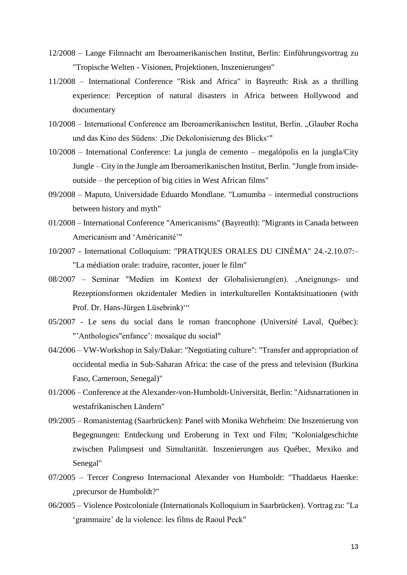- 12/2008 Lange Filmnacht am Iberoamerikanischen Institut, Berlin: Einführungsvortrag zu "Tropische Welten - Visionen, Projektionen, Inszenierungen"
- 11/2008 International Conference "Risk and Africa" in Bayreuth: Risk as a thrilling experience: Perception of natural disasters in Africa between Hollywood and documentary
- 10/2008 International Conference am Iberoamerikanischen Institut, Berlin. "Glauber Rocha und das Kino des Südens: ,Die Dekolonisierung des Blicks'"
- 10/2008 International Conference: La jungla de cemento megalópolis en la jungla/City Jungle – City in the Jungle am Iberoamerikanischen Institut, Berlin. "Jungle from insideoutside – the perception of big cities in West African films"
- 09/2008 Maputo, Universidade Eduardo Mondlane. "Lumumba intermedial constructions between history and myth"
- 01/2008 International Conference "Americanisms" (Bayreuth): "Migrants in Canada between Americanism and 'Américanité'"
- 10/2007 International Colloquium: "PRATIQUES ORALES DU CINÉMA" 24.-2.10.07:– "La médiation orale: traduire, raconter, jouer le film"
- 08/2007 Seminar "Medien im Kontext der Globalisierung(en). ,Aneignungs- und Rezeptionsformen okzidentaler Medien in interkulturellen Kontaktsituationen (with Prof. Dr. Hans-Jürgen Lüsebrink)'"
- 05/2007 Le sens du social dans le roman francophone (Université Laval, Québec): "'Anthologies"enfance': mosaïque du social"
- 04/2006 VW-Workshop in Saly/Dakar: "Negotiating culture": "Transfer and appropriation of occidental media in Sub-Saharan Africa: the case of the press and television (Burkina Faso, Cameroon, Senegal)"
- 01/2006 Conference at the Alexander-von-Humboldt-Universität, Berlin: "Aidsnarrationen in westafrikanischen Ländern"
- 09/2005 Romanistentag (Saarbrücken): Panel with Monika Wehrheim: Die Inszenierung von Begegnungen: Entdeckung und Eroberung in Text und Film; "Kolonialgeschichte zwischen Palimpsest und Simultanität. Inszenierungen aus Québec, Mexiko and Senegal"
- 07/2005 Tercer Congreso Internacional Alexander von Humboldt: "Thaddaeus Haenke: ¿precursor de Humboldt?"
- 06/2005 Violence Postcoloniale (Internationals Kolloquium in Saarbrücken). Vortrag zu: "La 'grammaire' de la violence: les films de Raoul Peck"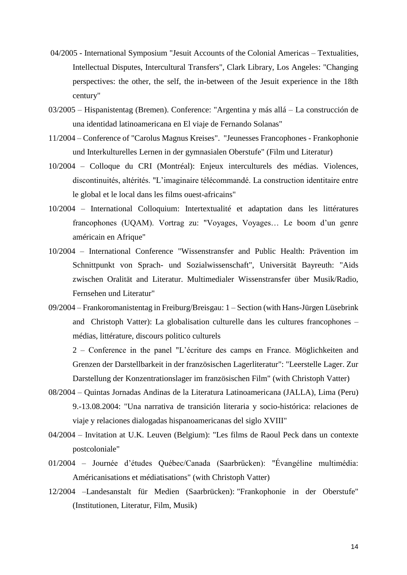- 04/2005 International Symposium "Jesuit Accounts of the Colonial Americas Textualities, Intellectual Disputes, Intercultural Transfers", Clark Library, Los Angeles: "Changing perspectives: the other, the self, the in-between of the Jesuit experience in the 18th century"
- 03/2005 Hispanistentag (Bremen). Conference: "Argentina y más allá La construcción de una identidad latinoamericana en El viaje de Fernando Solanas"
- 11/2004 Conference of "Carolus Magnus Kreises". "Jeunesses Francophones Frankophonie und Interkulturelles Lernen in der gymnasialen Oberstufe" (Film und Literatur)
- 10/2004 Colloque du CRI (Montréal): Enjeux interculturels des médias. Violences, discontinuités, altérités. "L'imaginaire télécommandé. La construction identitaire entre le global et le local dans les films ouest-africains"
- 10/2004 International Colloquium: Intertextualité et adaptation dans les littératures francophones (UQAM). Vortrag zu: "Voyages, Voyages… Le boom d'un genre américain en Afrique"
- 10/2004 International Conference "Wissenstransfer and Public Health: Prävention im Schnittpunkt von Sprach- und Sozialwissenschaft", Universität Bayreuth: "Aids zwischen Oralität and Literatur. Multimedialer Wissenstransfer über Musik/Radio, Fernsehen und Literatur"
- 09/2004 Frankoromanistentag in Freiburg/Breisgau: 1 Section (with Hans-Jürgen Lüsebrink and Christoph Vatter): La globalisation culturelle dans les cultures francophones – médias, littérature, discours politico culturels

2 – Conference in the panel "L'écriture des camps en France. Möglichkeiten and Grenzen der Darstellbarkeit in der französischen Lagerliteratur": "Leerstelle Lager. Zur Darstellung der Konzentrationslager im französischen Film" (with Christoph Vatter)

- 08/2004 Quintas Jornadas Andinas de la Literatura Latinoamericana (JALLA), Lima (Peru) 9.-13.08.2004: "Una narrativa de transición literaria y socio-histórica: relaciones de viaje y relaciones dialogadas hispanoamericanas del siglo XVIII"
- 04/2004 Invitation at U.K. Leuven (Belgium): "Les films de Raoul Peck dans un contexte postcoloniale"
- 01/2004 Journée d'études Québec/Canada (Saarbrücken): "Évangéline multimédia: Américanisations et médiatisations" (with Christoph Vatter)
- 12/2004 –Landesanstalt für Medien (Saarbrücken): "Frankophonie in der Oberstufe" (Institutionen, Literatur, Film, Musik)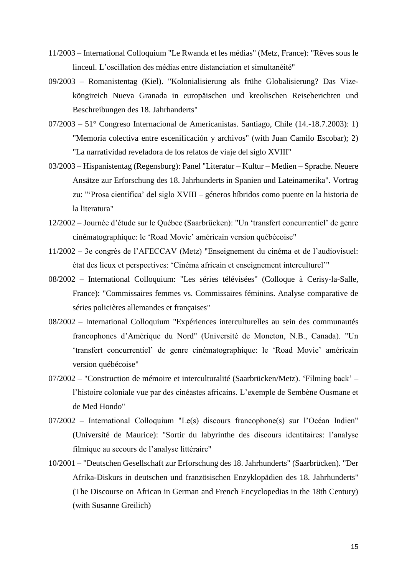- 11/2003 International Colloquium "Le Rwanda et les médias" (Metz, France): "Rêves sous le linceul. L'oscillation des médias entre distanciation et simultanéité"
- 09/2003 Romanistentag (Kiel). "Kolonialisierung als frühe Globalisierung? Das Vizeköngireich Nueva Granada in europäischen und kreolischen Reiseberichten und Beschreibungen des 18. Jahrhanderts"
- 07/2003 51° Congreso Internacional de Americanistas. Santiago, Chile (14.-18.7.2003): 1) "Memoria colectiva entre escenificación y archivos" (with Juan Camilo Escobar); 2) "La narratividad reveladora de los relatos de viaje del siglo XVIII"
- 03/2003 Hispanistentag (Regensburg): Panel "Literatur Kultur Medien Sprache. Neuere Ansätze zur Erforschung des 18. Jahrhunderts in Spanien und Lateinamerika". Vortrag zu: "'Prosa científica' del siglo XVIII – géneros híbridos como puente en la historia de la literatura"
- 12/2002 Journée d'étude sur le Québec (Saarbrücken): "Un 'transfert concurrentiel' de genre cinématographique: le 'Road Movie' américain version québécoise"
- 11/2002 3e congrès de l'AFECCAV (Metz) "Enseignement du cinéma et de l'audiovisuel: état des lieux et perspectives: 'Cinéma africain et enseignement interculturel'"
- 08/2002 International Colloquium: "Les séries télévisées" (Colloque à Cerisy-la-Salle, France): "Commissaires femmes vs. Commissaires féminins. Analyse comparative de séries policières allemandes et françaises"
- 08/2002 International Colloquium "Expériences interculturelles au sein des communautés francophones d'Amérique du Nord" (Université de Moncton, N.B., Canada). "Un 'transfert concurrentiel' de genre cinématographique: le 'Road Movie' américain version québécoise"
- 07/2002 "Construction de mémoire et interculturalité (Saarbrücken/Metz). 'Filming back' l'histoire coloniale vue par des cinéastes africains. L'exemple de Sembène Ousmane et de Med Hondo"
- 07/2002 International Colloquium "Le(s) discours francophone(s) sur l'Océan Indien" (Université de Maurice): "Sortir du labyrinthe des discours identitaires: l'analyse filmique au secours de l'analyse littéraire"
- 10/2001 "Deutschen Gesellschaft zur Erforschung des 18. Jahrhunderts" (Saarbrücken). "Der Afrika-Diskurs in deutschen und französischen Enzyklopädien des 18. Jahrhunderts" (The Discourse on African in German and French Encyclopedias in the 18th Century) (with Susanne Greilich)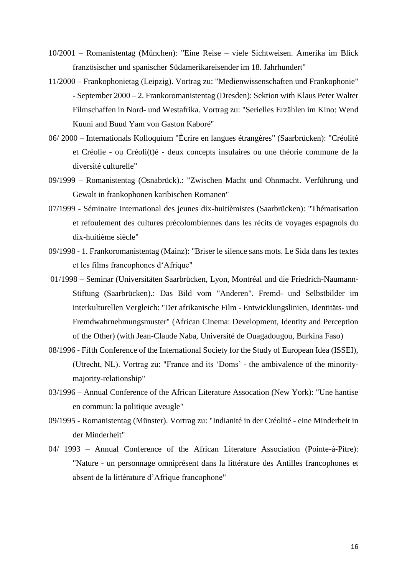- 10/2001 Romanistentag (München): "Eine Reise viele Sichtweisen. Amerika im Blick französischer und spanischer Südamerikareisender im 18. Jahrhundert"
- 11/2000 Frankophonietag (Leipzig). Vortrag zu: "Medienwissenschaften und Frankophonie" - September 2000 – 2. Frankoromanistentag (Dresden): Sektion with Klaus Peter Walter Filmschaffen in Nord- und Westafrika. Vortrag zu: "Serielles Erzählen im Kino: Wend Kuuni and Buud Yam von Gaston Kaboré"
- 06/ 2000 Internationals Kolloquium "Écrire en langues étrangères" (Saarbrücken): "Créolité et Créolie - ou Créoli(t)é - deux concepts insulaires ou une théorie commune de la diversité culturelle"
- 09/1999 Romanistentag (Osnabrück).: "Zwischen Macht und Ohnmacht. Verführung und Gewalt in frankophonen karibischen Romanen"
- 07/1999 Séminaire International des jeunes dix-huitièmistes (Saarbrücken): "Thématisation et refoulement des cultures précolombiennes dans les récits de voyages espagnols du dix-huitième siècle"
- 09/1998 1. Frankoromanistentag (Mainz): "Briser le silence sans mots. Le Sida dans les textes et les films francophones d'Afrique"
- 01/1998 Seminar (Universitäten Saarbrücken, Lyon, Montréal und die Friedrich-Naumann-Stiftung (Saarbrücken).: Das Bild vom "Anderen". Fremd- und Selbstbilder im interkulturellen Vergleich: "Der afrikanische Film - Entwicklungslinien, Identitäts- und Fremdwahrnehmungsmuster" (African Cinema: Development, Identity and Perception of the Other) (with Jean-Claude Naba, Université de Ouagadougou, Burkina Faso)
- 08/1996 Fifth Conference of the International Society for the Study of European Idea (ISSEI), (Utrecht, NL). Vortrag zu: "France and its 'Doms' - the ambivalence of the minoritymajority-relationship"
- 03/1996 Annual Conference of the African Literature Assocation (New York): "Une hantise en commun: la politique aveugle"
- 09/1995 Romanistentag (Münster). Vortrag zu: "Indianité in der Créolité eine Minderheit in der Minderheit"
- 04/ 1993 Annual Conference of the African Literature Association (Pointe-à-Pitre): "Nature - un personnage omniprésent dans la littérature des Antilles francophones et absent de la littérature d'Afrique francophone"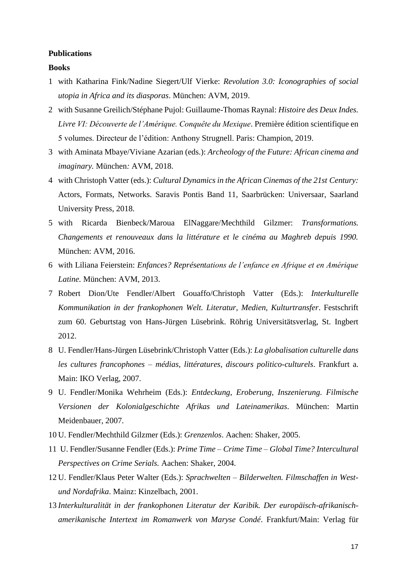#### **Publications**

### **Books**

- 1 with Katharina Fink/Nadine Siegert/Ulf Vierke: *Revolution 3.0: Iconographies of social utopia in Africa and its diasporas*. München: AVM, 2019.
- 2 with Susanne Greilich/Stéphane Pujol: Guillaume-Thomas Raynal: *Histoire des Deux Indes. Livre VI: Découverte de l'Amérique. Conquête du Mexique*. Première édition scientifique en 5 volumes. Directeur de l'édition: Anthony Strugnell. Paris: Champion, 2019.
- 3 with Aminata Mbaye/Viviane Azarian (eds.): *Archeology of the Future: African cinema and imaginary.* München*:* AVM, 2018.
- 4 with Christoph Vatter (eds.): *Cultural Dynamics in the African Cinemas of the 21st Century:*  Actors, Formats, Networks. Saravis Pontis Band 11, Saarbrücken: Universaar, Saarland University Press, 2018.
- 5 with Ricarda Bienbeck/Maroua ElNaggare/Mechthild Gilzmer: *Transformations. Changements et renouveaux dans la littérature et le cinéma au Maghreb depuis 1990.* München: AVM, 2016.
- 6 with Liliana Feierstein: *Enfances? Représentations de l'enfance en Afrique et en Amérique Latine.* München: AVM, 2013.
- 7 Robert Dion/Ute Fendler/Albert Gouaffo/Christoph Vatter (Eds.): *Interkulturelle Kommunikation in der frankophonen Welt. Literatur, Medien, Kulturtransfer*. Festschrift zum 60. Geburtstag von Hans-Jürgen Lüsebrink. Röhrig Universitätsverlag, St. Ingbert 2012.
- 8 U. Fendler/Hans-Jürgen Lüsebrink/Christoph Vatter (Eds.): *La globalisation culturelle dans les cultures francophones – médias, littératures, discours politico-culturels*. Frankfurt a. Main: IKO Verlag, 2007.
- 9 U. Fendler/Monika Wehrheim (Eds.): *Entdeckung, Eroberung, Inszenierung. Filmische Versionen der Kolonialgeschichte Afrikas und Lateinamerikas*. München: Martin Meidenbauer, 2007.
- 10 U. Fendler/Mechthild Gilzmer (Eds.): *Grenzenlos*. Aachen: Shaker, 2005.
- 11 U. Fendler/Susanne Fendler (Eds.): *Prime Time – Crime Time Global Time? Intercultural Perspectives on Crime Serials.* Aachen: Shaker, 2004.
- 12 U. Fendler/Klaus Peter Walter (Eds.): *Sprachwelten – Bilderwelten. Filmschaffen in Westund Nordafrika*. Mainz: Kinzelbach, 2001.
- 13 *Interkulturalität in der frankophonen Literatur der Karibik. Der europäisch-afrikanischamerikanische Intertext im Romanwerk von Maryse Condé*. Frankfurt/Main: Verlag für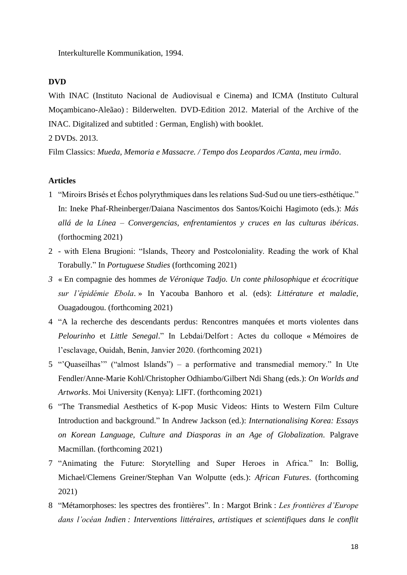Interkulturelle Kommunikation, 1994.

## **DVD**

With INAC (Instituto Nacional de Audiovisual e Cinema) and ICMA (Instituto Cultural Moçambicano-Aleãao) : Bilderwelten. DVD-Edition 2012. Material of the Archive of the INAC. Digitalized and subtitled : German, English) with booklet.

2 DVDs. 2013.

Film Classics: *Mueda, Memoria e Massacre. / Tempo dos Leopardos /Canta, meu irmão*.

### **Articles**

- 1 "Miroirs Brisés et Échos polyrythmiques dans les relations Sud-Sud ou une tiers-esthétique." In: Ineke Phaf-Rheinberger/Daiana Nascimentos dos Santos/Koichi Hagimoto (eds.): *Más allá de la Línea – Convergencias, enfrentamientos y cruces en las culturas ibéricas*. (forthocming 2021)
- 2 with Elena Brugioni: "Islands, Theory and Postcoloniality. Reading the work of Khal Torabully." In *Portuguese Studies* (forthcoming 2021)
- *3* « En compagnie des hommes *de Véronique Tadjo. Un conte philosophique et écocritique sur l'épidémie Ebola*. » In Yacouba Banhoro et al. (eds): *Littérature et maladie*, Ouagadougou. (forthcoming 2021)
- 4 "A la recherche des descendants perdus: Rencontres manquées et morts violentes dans *Pelourinho* et *Little Senegal*." In Lebdai/Delfort : Actes du colloque « Mémoires de l'esclavage, Ouidah, Benin, Janvier 2020. (forthcoming 2021)
- 5 "'Quaseilhas'" ("almost Islands") a performative and transmedial memory." In Ute Fendler/Anne-Marie Kohl/Christopher Odhiambo/Gilbert Ndi Shang (eds.): *On Worlds and Artworks*. Moi University (Kenya): LIFT. (forthcoming 2021)
- 6 "The Transmedial Aesthetics of K-pop Music Videos: Hints to Western Film Culture Introduction and background." In Andrew Jackson (ed.): *Internationalising Korea: Essays on Korean Language, Culture and Diasporas in an Age of Globalization.* Palgrave Macmillan. (forthcoming 2021)
- 7 "Animating the Future: Storytelling and Super Heroes in Africa." In: Bollig, Michael/Clemens Greiner/Stephan Van Wolputte (eds.): *African Futures*. (forthcoming 2021)
- 8 "Métamorphoses: les spectres des frontières". In : Margot Brink : *Les frontières d'Europe dans l'océan Indien : Interventions littéraires, artistiques et scientifiques dans le conflit*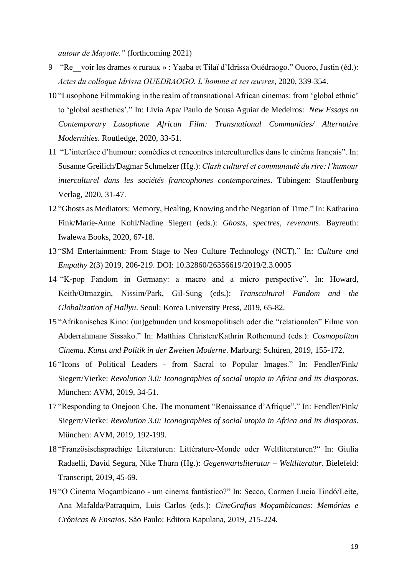*autour de Mayotte."* (forthcoming 2021)

- 9 "Re\_\_voir les drames « ruraux » : Yaaba et Tilaï d'Idrissa Ouédraogo." Ouoro, Justin (éd.): *Actes du colloque Idrissa OUEDRAOGO. L'homme et ses œuvres*, 2020, 339-354.
- 10 "Lusophone Filmmaking in the realm of transnational African cinemas: from 'global ethnic' to 'global aesthetics'." In: Livia Apa/ Paulo de Sousa Aguiar de Medeiros: *New Essays on Contemporary Lusophone African Film: Transnational Communities/ Alternative Modernities*. Routledge, 2020, 33-51.
- 11 "L'interface d'humour: comédies et rencontres interculturelles dans le cinéma français". In: Susanne Greilich/Dagmar Schmelzer (Hg.): *Clash culturel et communauté du rire: l'humour interculturel dans les sociétés francophones contemporaines*. Tübingen: Stauffenburg Verlag, 2020, 31-47.
- 12 "Ghosts as Mediators: Memory, Healing, Knowing and the Negation of Time." In: Katharina Fink/Marie-Anne Kohl/Nadine Siegert (eds.): *Ghosts, spectres, revenants*. Bayreuth: Iwalewa Books, 2020, 67-18.
- 13 "SM Entertainment: From Stage to Neo Culture Technology (NCT)." In: *Culture and Empathy* 2(3) 2019, 206-219. DOI: 10.32860/26356619/2019/2.3.0005
- 14 "K-pop Fandom in Germany: a macro and a micro perspective". In: Howard, Keith/Otmazgin, Nissim/Park, Gil-Sung (eds.): *Transcultural Fandom and the Globalization of Hallyu*. Seoul: Korea University Press, 2019, 65-82.
- 15 "Afrikanisches Kino: (un)gebunden und kosmopolitisch oder die "relationalen" Filme von Abderrahmane Sissako." In: Matthias Christen/Kathrin Rothemund (eds.): *Cosmopolitan Cinema. Kunst und Politik in der Zweiten Moderne*. Marburg: Schüren, 2019, 155-172.
- 16 "Icons of Political Leaders from Sacral to Popular Images." In: Fendler/Fink/ Siegert/Vierke: *Revolution 3.0: Iconographies of social utopia in Africa and its diasporas*. München: AVM, 2019, 34-51.
- 17 "Responding to Onejoon Che. The monument "Renaissance d'Afrique"." In: Fendler/Fink/ Siegert/Vierke: *Revolution 3.0: Iconographies of social utopia in Africa and its diasporas*. München: AVM, 2019, 192-199.
- 18 "Französischsprachige Literaturen: Littérature-Monde oder Weltliteraturen?" In: Giulia Radaelli, David Segura, Nike Thurn (Hg.): *Gegenwartsliteratur – Weltliteratur*. Bielefeld: Transcript, 2019, 45-69.
- 19 "O Cinema Moçambicano um cinema fantástico?" In: Secco, Carmen Lucia Tindó/Leite, Ana Mafalda/Patraquim, Luis Carlos (eds.): *CineGrafias Moçambicanas: Memórias e Crônicas & Ensaios*. São Paulo: Editora Kapulana, 2019, 215-224.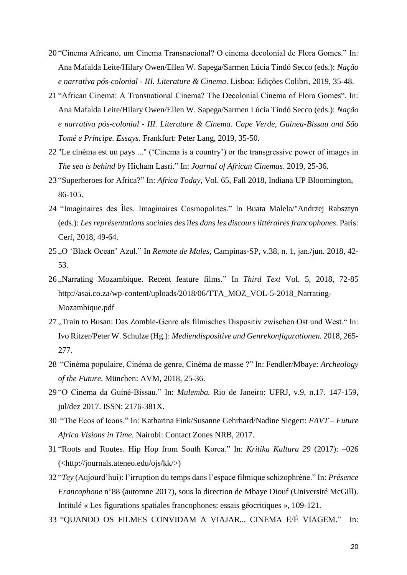- 20 "Cinema Africano, um Cinema Transnacional? O cinema decolonial de Flora Gomes." In: Ana Mafalda Leite/Hilary Owen/Ellen W. Sapega/Sarmen Lúcia Tindó Secco (eds.): *Nação e narrativa pós-colonial - III. Literature & Cinema*. Lisboa: Edições Colibri, 2019, 35-48.
- 21 "African Cinema: A Transnational Cinema? The Decolonial Cinema of Flora Gomes". In: Ana Mafalda Leite/Hilary Owen/Ellen W. Sapega/Sarmen Lúcia Tindó Secco (eds.): *Nação e narrativa pós-colonial - III. Literature & Cinema*. *Cape Verde, Guinea-Bissau and São Tomé e Príncipe. Essays*. Frankfurt: Peter Lang, 2019, 35-50.
- 22 "Le cinéma est un pays ..." ('Cinema is a country') or the transgressive power of images in *The sea is behind* by Hicham Lasri." In: *Journal of African Cinemas*. 2019, 25-36.
- 23 "Superheroes for Africa?" In: *Africa Today*, Vol. 65, Fall 2018, Indiana UP Bloomington, 86-105.
- 24 "Imaginaires des Îles. Imaginaires Cosmopolites." In Buata Malela/"Andrzej Rabsztyn (eds.): *Les représentations sociales des îles dans les discours littéraires francophones*. Paris: Cerf, 2018, 49-64.
- 25 "O 'Black Ocean' Azul." In *Remate de Males*, Campinas-SP, v.38, n. 1, jan./jun. 2018, 42- 53.
- 26 "Narrating Mozambique. Recent feature films." In *Third Text* Vol. 5, 2018, 72-85 http://asai.co.za/wp-content/uploads/2018/06/TTA\_MOZ\_VOL-5-2018\_Narrating-Mozambique.pdf
- 27 "Train to Busan: Das Zombie-Genre als filmisches Dispositiv zwischen Ost und West." In: Ivo Ritzer/Peter W. Schulze (Hg.): *Mediendispositive und Genrekonfigurationen.* 2018, 265- 277.
- 28 "Cinéma populaire, Cinéma de genre, Cinéma de masse ?" In: Fendler/Mbaye: *Archeology of the Future*. München: AVM, 2018, 25-36.
- 29 "O Cinema da Guiné-Bissau." In: *Mulemba.* Rio de Janeiro: UFRJ, v.9, n.17. 147-159, jul/dez 2017. ISSN: 2176-381X.
- 30 "The Ecos of Icons." In: Katharina Fink/Susanne Gehrhard/Nadine Siegert: *FAVT – Future Africa Visions in Time*. Nairobi: Contact Zones NRB, 2017.
- 31 "Roots and Routes. Hip Hop from South Korea." In: *Kritika Kultura 29* (2017): –026 (<http://journals.ateneo.edu/ojs/kk/>)
- 32 "*Tey* (Aujourd'hui): l'irruption du temps dans l'espace filmique schizophrène." In: *Présence Francophone* n°88 (automne 2017), sous la direction de Mbaye Diouf (Université McGill). Intitulé « Les figurations spatiales francophones: essais géocritiques », 109-121.
- 33 "QUANDO OS FILMES CONVIDAM A VIAJAR... CINEMA E/É VIAGEM." In: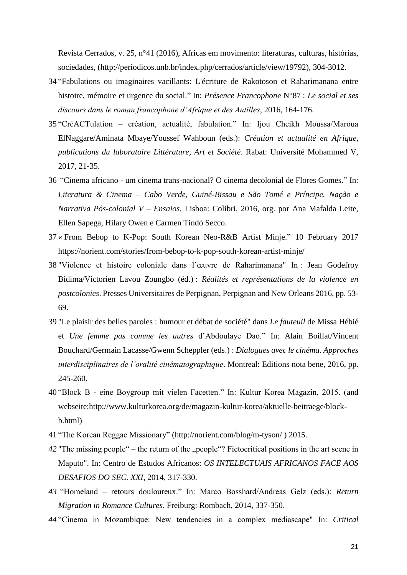Revista Cerrados, v. 25, n°41 (2016), Africas em movimento: literaturas, culturas, histórias, sociedades, (http://periodicos.unb.br/index.php/cerrados/article/view/19792), 304-3012.

- 34 "Fabulations ou imaginaires vacillants: L'écriture de Rakotoson et Raharimanana entre histoire, mémoire et urgence du social." In: *Présence Francophone* N°87 : *Le social et ses discours dans le roman francophone d'Afrique et des Antilles*, 2016, 164-176.
- 35 "CréACTulation création, actualité, fabulation." In: Ijou Cheikh Moussa/Maroua ElNaggare/Aminata Mbaye/Youssef Wahboun (eds.): *Création et actualité en Afrique, publications du laboratoire Littérature, Art et Société.* Rabat: Université Mohammed V, 2017, 21-35.
- 36 "Cinema africano um cinema trans-nacional? O cinema decolonial de Flores Gomes." In: *Literatura & Cinema – Cabo Verde, Guiné-Bissau e São Tomé e Príncipe. Nação e Narrativa Pós-colonial V – Ensaios.* Lisboa: Colibri, 2016, org. por Ana Mafalda Leite, Ellen Sapega, Hilary Owen e Carmen Tindó Secco.
- 37 « [From Bebop to K-Pop: South Korean Neo-R&B Artist Minje.](https://norient.com/stories/from-bebop-to-k-pop-south-korean-artist-minje/)" 10 February 2017 https://norient.com/stories/from-bebop-to-k-pop-south-korean-artist-minje/
- 38 "Violence et histoire coloniale dans l'œuvre de Raharimanana" In : Jean Godefroy Bidima/Victorien Lavou Zoungbo (éd.) : *Réalités et représentations de la violence en postcolonies*. Presses Universitaires de Perpignan, Perpignan and New Orleans 2016, pp. 53- 69.
- 39 "Le plaisir des belles paroles : humour et débat de société" dans *Le fauteuil* de Missa Hébié et *Une femme pas comme les autres* d'Abdoulaye Dao." In: Alain Boillat/Vincent Bouchard/Germain Lacasse/Gwenn Scheppler (eds.) : *Dialogues avec le cinéma. Approches interdisciplinaires de l'oralité cinématographique*. Montreal: Editions nota bene, 2016, pp. 245-260.
- 40 "Block B eine Boygroup mit vielen Facetten." In: Kultur Korea Magazin, 2015. (and webseite:http://www.kulturkorea.org/de/magazin-kultur-korea/aktuelle-beitraege/blockb.html)
- 41 "The Korean Reggae Missionary" (http://norient.com/blog/m-tyson/ ) 2015.
- 42 "The missing people" the return of the "people"? Fictocritical positions in the art scene in Maputo". In: Centro de Estudos Africanos: *OS INTELECTUAIS AFRICANOS FACE AOS DESAFIOS DO SEC. XXI,* 2014, 317-330.
- *43* "Homeland retours douloureux." In: Marco Bosshard/Andreas Gelz (eds.): *Return Migration in Romance Cultures*. Freiburg: Rombach, 2014, 337-350.
- *44* "Cinema in Mozambique: New tendencies in a complex mediascape" In: *Critical*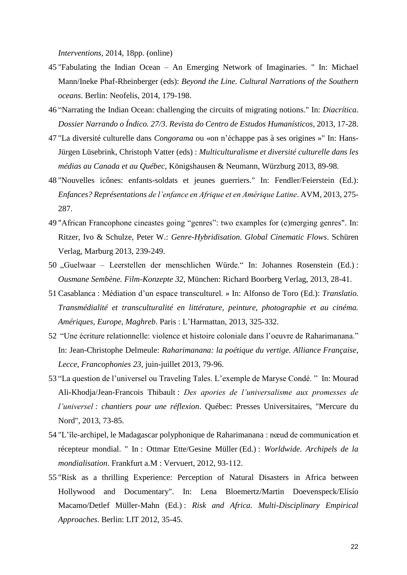*Interventions,* 2014, 18pp. (online)

- 45 "Fabulating the Indian Ocean An Emerging Network of Imaginaries. " In: Michael Mann/Ineke Phaf-Rheinberger (eds): *Beyond the Line. Cultural Narrations of the Southern oceans*. Berlin: Neofelis, 2014, 179-198.
- 46 "Narrating the Indian Ocean: challenging the circuits of migrating notions." In: *Diacrítica. Dossier Narrando o Índico. 27/3*. *Revista do Centro de Estudos Humanísticos*, 2013, 17-28.
- 47 "La diversité culturelle dans *Congorama* ou «on n'échappe pas à ses origines »" In: Hans-Jürgen Lüsebrink, Christoph Vatter (eds) : *Multiculturalisme et diversité culturelle dans les médias au Canada et au Québec*, Königshausen & Neumann, Würzburg 2013, 89-98.
- 48 "Nouvelles icônes: enfants-soldats et jeunes guerriers." In: Fendler/Feierstein (Ed.): *Enfances? Représentations de l'enfance en Afrique et en Amérique Latine*. AVM, 2013, 275- 287.
- 49 "African Francophone cineastes going "genres": two examples for (e)merging genres". In: Ritzer, Ivo & Schulze, Peter W.: *Genre-Hybridisation. Global Cinematic Flows*. Schüren Verlag, Marburg 2013, 239-249.
- 50 "Guelwaar Leerstellen der menschlichen Würde." In: Johannes Rosenstein (Ed.) : *Ousmane Sembène. Film-Konzepte 32*, München: Richard Boorberg Verlag, 2013, 28-41.
- 51 Casablanca : Médiation d'un espace transculturel. » In: Alfonso de Toro (Ed.): *Translatio. Transmédialité et transculturalité en littérature, peinture, photographie et au cinéma. Amériques, Europe, Maghreb*. Paris : L'Harmattan, 2013, 325-332.
- 52 "Une écriture relationnelle: violence et histoire coloniale dans l'oeuvre de Raharimanana." In: Jean-Christophe Delmeule: *Raharimanana: la poétique du vertige. Alliance Française, Lecce, Francophonies 23*, juin-juillet 2013, 79-96.
- 53 "La question de l'universel ou Traveling Tales. L'exemple de Maryse Condé. " In: Mourad Ali-Khodja/Jean-Francois Thibault : *Des apories de l'universalisme aux promesses de l'universel : chantiers pour une réflexion*. Québec: Presses Universitaires, "Mercure du Nord", 2013, 73-85.
- 54 "L'île-archipel, le Madagascar polyphonique de Raharimanana : nœud de communication et récepteur mondial. " In : Ottmar Ette/Gesine Müller (Ed.) : *Worldwide. Archipels de la mondialisation*. Frankfurt a.M : Vervuert, 2012, 93-112.
- 55 "Risk as a thrilling Experience: Perception of Natural Disasters in Africa between Hollywood and Documentary". In: Lena Bloemertz/Martin Doevenspeck/Elísío Macamo/Detlef Müller-Mahn (Ed.) : *Risk and Africa. Multi-Disciplinary Empirical Approaches*. Berlin: LIT 2012, 35-45.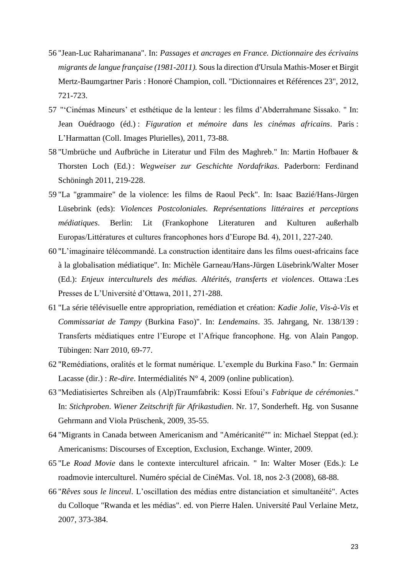- 56 "Jean-Luc Raharimanana". In: *Passages et ancrages en France. Dictionnaire des écrivains migrants de langue française (1981-2011).* Sous la direction d'Ursula Mathis-Moser et Birgit Mertz-Baumgartner Paris : Honoré Champion, coll. "Dictionnaires et Références 23", 2012, 721-723.
- 57 "'Cinémas Mineurs' et esthétique de la lenteur : les films d'Abderrahmane Sissako. " In: Jean Ouédraogo (éd.) : *Figuration et mémoire dans les cinémas africains*. Paris : L'Harmattan (Coll. Images Plurielles), 2011, 73-88.
- 58 "Umbrüche und Aufbrüche in Literatur und Film des Maghreb." In: Martin Hofbauer & Thorsten Loch (Ed.) : *Wegweiser zur Geschichte Nordafrikas*. Paderborn: Ferdinand Schöningh 2011, 219-228.
- 59 "La "grammaire" de la violence: les films de Raoul Peck". In: Isaac Bazié/Hans-Jürgen Lüsebrink (eds): *Violences Postcoloniales. Représentations littéraires et perceptions médiatiques*. Berlin: Lit (Frankophone Literaturen and Kulturen außerhalb Europas/Littératures et cultures francophones hors d'Europe Bd. 4), 2011, 227-240.
- 60 "L'imaginaire télécommandé. La construction identitaire dans les films ouest-africains face à la globalisation médiatique". In: Michèle Garneau/Hans-Jürgen Lüsebrink/Walter Moser (Ed.): *Enjeux interculturels des médias. Altérités, transferts et violences*. Ottawa :Les Presses de L'Université d'Ottawa, 2011, 271-288.
- 61 "La série télévisuelle entre appropriation, remédiation et création: *Kadie Jolie, Vis-à-Vis* et *Commissariat de Tampy* (Burkina Faso)". In: *Lendemains*. 35. Jahrgang, Nr. 138/139 : Transferts médiatiques entre l'Europe et l'Afrique francophone. Hg. von Alain Pangop. Tübingen: Narr 2010, 69-77.
- 62 "Remédiations, oralités et le format numérique. L'exemple du Burkina Faso." In: Germain Lacasse (dir.) : *Re-dire*. Intermédialités N° 4, 2009 (online publication).
- 63 "Mediatisiertes Schreiben als (Alp)Traumfabrik: Kossi Efoui's *Fabrique de cérémonies*." In: *Stichproben*. *Wiener Zeitschrift für Afrikastudien*. Nr. 17, Sonderheft. Hg. von Susanne Gehrmann and Viola Prüschenk, 2009, 35-55.
- 64 "Migrants in Canada between Americanism and "Américanité"" in: Michael Steppat (ed.): Americanisms: Discourses of Exception, Exclusion, Exchange. Winter, 2009.
- 65 "Le *Road Movie* dans le contexte interculturel africain. " In: Walter Moser (Eds.): Le roadmovie interculturel. Numéro spécial de CinéMas. Vol. 18, nos 2-3 (2008), 68-88.
- 66 "*Rêves sous le linceul*. L'oscillation des médias entre distanciation et simultanéité". Actes du Colloque "Rwanda et les médias". ed. von Pierre Halen. Université Paul Verlaine Metz, 2007, 373-384.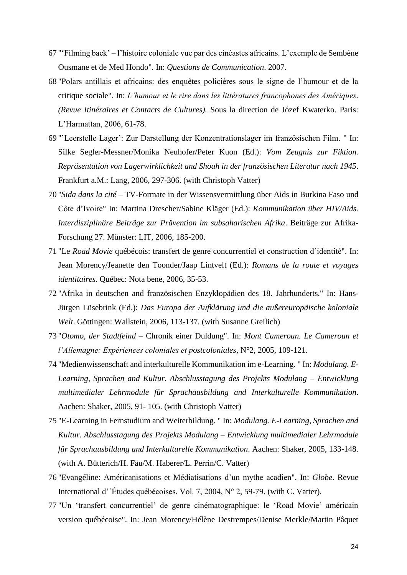- 67 "'Filming back' l'histoire coloniale vue par des cinéastes africains. L'exemple de Sembène Ousmane et de Med Hondo". In: *Questions de Communication*. 2007.
- 68 "Polars antillais et africains: des enquêtes policières sous le signe de l'humour et de la critique sociale". In: *L'humour et le rire dans les littératures francophones des Amériques. (Revue Itinéraires et Contacts de Cultures).* Sous la direction de Józef Kwaterko. Paris: L'Harmattan, 2006, 61-78.
- 69 "'Leerstelle Lager': Zur Darstellung der Konzentrationslager im französischen Film. " In: Silke Segler-Messner/Monika Neuhofer/Peter Kuon (Ed.): *Vom Zeugnis zur Fiktion. Repräsentation von Lagerwirklichkeit and Shoah in der französischen Literatur nach 1945*. Frankfurt a.M.: Lang, 2006, 297-306. (with Christoph Vatter)
- 70 "*Sida dans la cité* TV-Formate in der Wissensvermittlung über Aids in Burkina Faso und Côte d'Ivoire" In: Martina Drescher/Sabine Kläger (Ed.): *Kommunikation über HIV/Aids. Interdisziplinäre Beiträge zur Prävention im subsaharischen Afrika*. Beiträge zur Afrika-Forschung 27. Münster: LIT, 2006, 185-200.
- 71 "Le *Road Movie* québécois: transfert de genre concurrentiel et construction d'identité". In: Jean Morency/Jeanette den Toonder/Jaap Lintvelt (Ed.): *Romans de la route et voyages identitaires.* Québec: Nota bene, 2006, 35-53.
- 72 "Afrika in deutschen and französischen Enzyklopädien des 18. Jahrhunderts." In: Hans-Jürgen Lüsebrink (Ed.): *Das Europa der Aufklärung und die außereuropäische koloniale Welt*. Göttingen: Wallstein, 2006, 113-137. (with Susanne Greilich)
- 73 "*Otomo, der Stadtfeind* Chronik einer Duldung". In: *Mont Cameroun. Le Cameroun et l'Allemagne: Expériences coloniales et postcoloniales*, N°2, 2005, 109-121.
- 74 "Medienwissenschaft and interkulturelle Kommunikation im e-Learning. " In: *Modulang. E-Learning, Sprachen and Kultur. Abschlusstagung des Projekts Modulang – Entwicklung multimedialer Lehrmodule für Sprachausbildung and Interkulturelle Kommunikation*. Aachen: Shaker, 2005, 91- 105. (with Christoph Vatter)
- 75 "E-Learning in Fernstudium and Weiterbildung. " In: *Modulang. E-Learning, Sprachen and Kultur. Abschlusstagung des Projekts Modulang – Entwicklung multimedialer Lehrmodule für Sprachausbildung and Interkulturelle Kommunikation*. Aachen: Shaker, 2005, 133-148. (with A. Bütterich/H. Fau/M. Haberer/L. Perrin/C. Vatter)
- 76 "Evangéline: Américanisations et Médiatisations d'un mythe acadien". In: *Globe*. Revue International d'´Études québécoises. Vol. 7, 2004, N° 2, 59-79. (with C. Vatter).
- 77 "Un 'transfert concurrentiel' de genre cinématographique: le 'Road Movie' américain version québécoise". In: Jean Morency/Hélène Destrempes/Denise Merkle/Martin Pâquet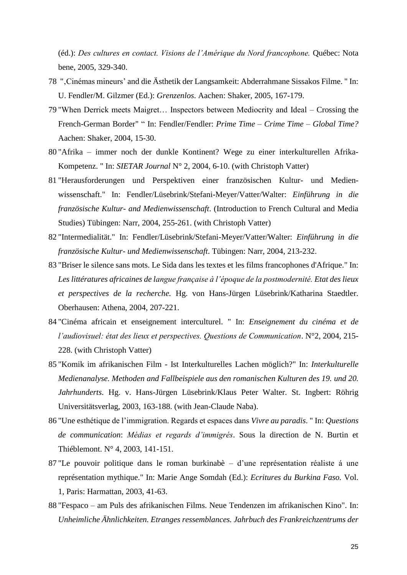(éd.): *Des cultures en contact. Visions de l'Amérique du Nord francophone.* Québec: Nota bene, 2005, 329-340.

- 78 "'Cinémas mineurs' and die Ästhetik der Langsamkeit: Abderrahmane Sissakos Filme. " In: U. Fendler/M. Gilzmer (Ed.): *Grenzenlos*. Aachen: Shaker, 2005, 167-179.
- 79 "When Derrick meets Maigret… Inspectors between Mediocrity and Ideal Crossing the French-German Border" " In: Fendler/Fendler: *Prime Time – Crime Time* – *Global Time?* Aachen: Shaker, 2004, 15-30.
- 80 "Afrika immer noch der dunkle Kontinent? Wege zu einer interkulturellen Afrika-Kompetenz. " In: *SIETAR Journal* N° 2, 2004, 6-10. (with Christoph Vatter)
- 81 "Herausforderungen und Perspektiven einer französischen Kultur- und Medienwissenschaft." In: Fendler/Lüsebrink/Stefani-Meyer/Vatter/Walter: *Einführung in die französische Kultur- and Medienwissenschaft*. (Introduction to French Cultural and Media Studies) Tübingen: Narr, 2004, 255-261. (with Christoph Vatter)
- 82 "Intermedialität." In: Fendler/Lüsebrink/Stefani-Meyer/Vatter/Walter: *Einführung in die französische Kultur- und Medienwissenschaft*. Tübingen: Narr, 2004, 213-232.
- 83 "Briser le silence sans mots. Le Sida dans les textes et les films francophones d'Afrique." In: *Les littératures africaines de langue française à l'époque de la postmodernité. Etat des lieux et perspectives de la recherche.* Hg. von Hans-Jürgen Lüsebrink/Katharina Staedtler. Oberhausen: Athena, 2004, 207-221.
- 84 "Cinéma africain et enseignement interculturel. " In: *Enseignement du cinéma et de l'audiovisuel: état des lieux et perspectives. Questions de Communication*. N°2, 2004, 215- 228. (with Christoph Vatter)
- 85 "Komik im afrikanischen Film Ist Interkulturelles Lachen möglich?" In: *Interkulturelle Medienanalyse. Methoden and Fallbeispiele aus den romanischen Kulturen des 19. und 20. Jahrhunderts.* Hg. v. Hans-Jürgen Lüsebrink/Klaus Peter Walter. St. Ingbert: Röhrig Universitätsverlag, 2003, 163-188. (with Jean-Claude Naba).
- 86 "Une esthétique de l'immigration. Regards et espaces dans *Vivre au paradis*. " In: *Questions de communication*: *Médias et regards d'immigrés*. Sous la direction de N. Burtin et Thiéblemont. N° 4, 2003, 141-151.
- 87 "Le pouvoir politique dans le roman burkinabè d'une représentation réaliste á une représentation mythique." In: Marie Ange Somdah (Ed.): *Ecritures du Burkina Faso.* Vol. 1, Paris: Harmattan, 2003, 41-63.
- 88 "Fespaco am Puls des afrikanischen Films. Neue Tendenzen im afrikanischen Kino". In: *Unheimliche Ähnlichkeiten. Etranges ressemblances. Jahrbuch des Frankreichzentrums der*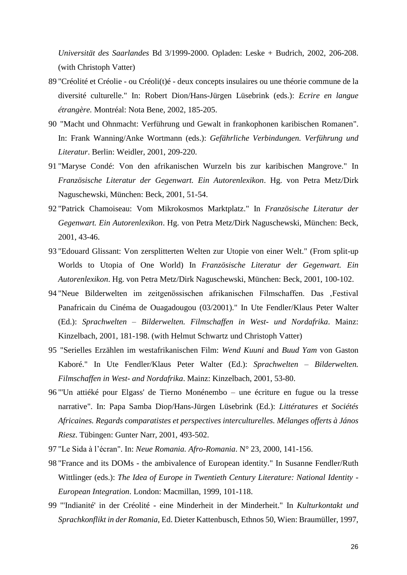*Universität des Saarlandes* Bd 3/1999-2000. Opladen: Leske + Budrich, 2002, 206-208. (with Christoph Vatter)

- 89 "Créolité et Créolie ou Créoli(t)é deux concepts insulaires ou une théorie commune de la diversité culturelle." In: Robert Dion/Hans-Jürgen Lüsebrink (eds.): *Ecrire en langue étrangère.* Montréal: Nota Bene, 2002, 185-205.
- 90 "Macht und Ohnmacht: Verführung und Gewalt in frankophonen karibischen Romanen". In: Frank Wanning/Anke Wortmann (eds.): *Gefährliche Verbindungen. Verführung und Literatur*. Berlin: Weidler, 2001, 209-220.
- 91 "Maryse Condé: Von den afrikanischen Wurzeln bis zur karibischen Mangrove." In *Französische Literatur der Gegenwart. Ein Autorenlexikon*. Hg. von Petra Metz/Dirk Naguschewski, München: Beck, 2001, 51-54.
- 92 "Patrick Chamoiseau: Vom Mikrokosmos Marktplatz." In *Französische Literatur der Gegenwart. Ein Autorenlexikon*. Hg. von Petra Metz/Dirk Naguschewski, München: Beck, 2001, 43-46.
- 93 "Edouard Glissant: Von zersplitterten Welten zur Utopie von einer Welt." (From split-up Worlds to Utopia of One World) In *Französische Literatur der Gegenwart. Ein Autorenlexikon*. Hg. von Petra Metz/Dirk Naguschewski, München: Beck, 2001, 100-102.
- 94 "Neue Bilderwelten im zeitgenössischen afrikanischen Filmschaffen. Das ,Festival Panafricain du Cinéma de Ouagadougou (03/2001)." In Ute Fendler/Klaus Peter Walter (Ed.): *Sprachwelten – Bilderwelten. Filmschaffen in West- und Nordafrika*. Mainz: Kinzelbach, 2001, 181-198. (with Helmut Schwartz und Christoph Vatter)
- 95 "Serielles Erzählen im westafrikanischen Film: *Wend Kuuni* and *Buud Yam* von Gaston Kaboré." In Ute Fendler/Klaus Peter Walter (Ed.): *Sprachwelten – Bilderwelten. Filmschaffen in West- and Nordafrika*. Mainz: Kinzelbach, 2001, 53-80.
- 96 "'Un attiéké pour Elgass' de Tierno Monénembo une écriture en fugue ou la tresse narrative". In: Papa Samba Diop/Hans-Jürgen Lüsebrink (Ed.): *Littératures et Sociétés Africaines. Regards comparatistes et perspectives interculturelles. Mélanges offerts à János Riesz*. Tübingen: Gunter Narr, 2001, 493-502.
- 97 "Le Sida à l'écran". In: *Neue Romania. Afro-Romania*. N° 23, 2000, 141-156.
- 98 "France and its DOMs the ambivalence of European identity." In Susanne Fendler/Ruth Wittlinger (eds.): *The Idea of Europe in Twentieth Century Literature: National Identity - European Integration*. London: Macmillan, 1999, 101-118.
- 99 "'Indianité' in der Créolité eine Minderheit in der Minderheit." In *Kulturkontakt und Sprachkonflikt in der Romania*, Ed. Dieter Kattenbusch, Ethnos 50, Wien: Braumüller, 1997,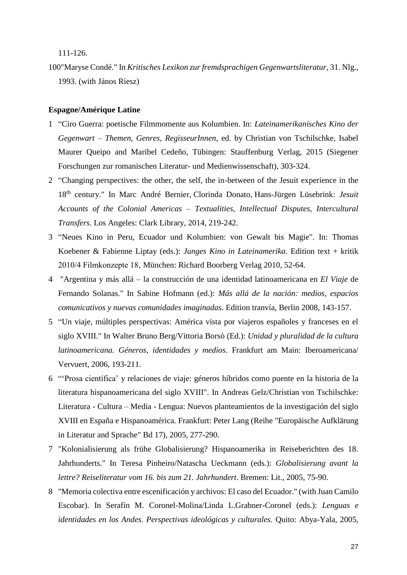111-126.

100"Maryse Condé." In *Kritisches Lexikon zur fremdsprachigen Gegenwartsliteratur*, 31. Nlg., 1993. (with János Riesz)

### **Espagne/Amérique Latine**

- 1 "Ciro Guerra: poetische Filmmomente aus Kolumbien. In: *Lateinamerikanisches Kino der Gegenwart – Themen, Genres, RegisseurInnen*, ed. by Christian von Tschilschke, Isabel Maurer Queipo and Maribel Cedeño, Tübingen: Stauffenburg Verlag, 2015 (Siegener Forschungen zur romanischen Literatur- und Medienwissenschaft), 303-324.
- 2 "Changing perspectives: the other, the self, the in-between of the Jesuit experience in the 18th century." In [Marc André Bernier,](http://www.amazon.com/s/ref=dp_byline_sr_book_1?ie=UTF8&text=Marc+Andr%C3%A9+Bernier&search-alias=books&field-author=Marc+Andr%C3%A9+Bernier&sort=relevancerank) [Clorinda Donato,](http://www.amazon.com/s/ref=dp_byline_sr_book_2?ie=UTF8&text=Clorinda+Donato&search-alias=books&field-author=Clorinda+Donato&sort=relevancerank) [Hans-Jürgen Lüsebrink:](http://www.amazon.com/s/ref=dp_byline_sr_book_3?ie=UTF8&text=Hans-J%C3%BCrgen+L%C3%BCsebrink&search-alias=books&field-author=Hans-J%C3%BCrgen+L%C3%BCsebrink&sort=relevancerank) *Jesuit Accounts of the Colonial Americas – Textualities, Intellectual Disputes, Intercultural Transfers*. Los Angeles: Clark Library, 2014, 219-242.
- 3 "Neues Kino in Peru, Ecuador und Kolumbien: von Gewalt bis Magie". In: Thomas Koebener & Fabienne Liptay (eds.): *Junges Kino in Lateinamerika*. Edition text + kritik 2010/4 Filmkonzepte 18, München: Richard Boorberg Verlag 2010, 52-64.
- 4 "Argentina y más allá la construcción de una identidad latinoamericana en *El Viaje* de Fernando Solanas." In Sabine Hofmann (ed.): *Más allá de la nación: medios, espacios comunicativos y nuevas comunidades imaginadas*. Edition tranvía, Berlin 2008, 143-157.
- 5 "Un viaje, múltiples perspectivas: América vista por viajeros españoles y franceses en el siglo XVIII." In Walter Bruno Berg/Vittoria Borsò (Ed.): *Unidad y pluralidad de la cultura latinoamericana. Géneros, identidades y medios*. Frankfurt am Main: Iberoamericana/ Vervuert, 2006, 193-211.
- 6 "'Prosa científica' y relaciones de viaje: géneros híbridos como puente en la historia de la literatura hispanoamericana del siglo XVIII". In Andreas Gelz/Christian von Tschilschke: Literatura - Cultura – Media - Lengua: Nuevos planteamientos de la investigación del siglo XVIII en España e Hispanoamérica. Frankfurt: Peter Lang (Reihe "Europäische Aufklärung in Literatur and Sprache" Bd 17), 2005, 277-290.
- 7 "Kolonialisierung als frühe Globalisierung? Hispanoamerika in Reiseberichten des 18. Jahrhunderts." In Teresa Pinheiro/Natascha Ueckmann (eds.): *Globalisierung avant la lettre? Reiseliteratur vom 16. bis zum 21. Jahrhundert*. Bremen: Lit., 2005, 75-90.
- 8 "Memoria colectiva entre escenificación y archivos: El caso del Ecuador." (with Juan Camilo Escobar). In Serafín M. Coronel-Molina/Linda L.Grabner-Coronel (eds.): *Lenguas e identidades en los Andes. Perspectivas ideológicas y culturales.* Quito: Abya-Yala, 2005,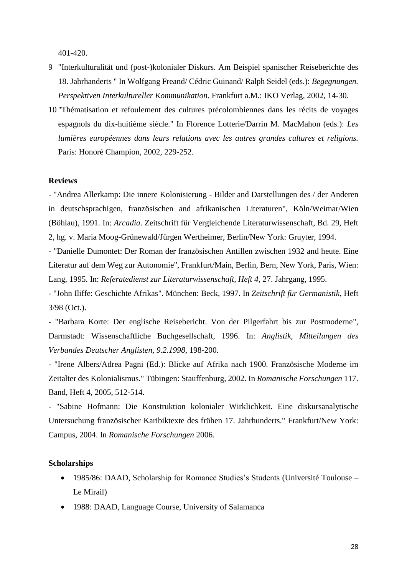401-420.

- 9 "Interkulturalität und (post-)kolonialer Diskurs. Am Beispiel spanischer Reiseberichte des 18. Jahrhanderts " In Wolfgang Freand/ Cédric Guinand/ Ralph Seidel (eds.): *Begegnungen. Perspektiven Interkultureller Kommunikation*. Frankfurt a.M.: IKO Verlag, 2002, 14-30.
- 10 "Thématisation et refoulement des cultures précolombiennes dans les récits de voyages espagnols du dix-huitième siècle." In Florence Lotterie/Darrin M. MacMahon (eds.): *Les lumières européennes dans leurs relations avec les autres grandes cultures et religions.*  Paris: Honoré Champion, 2002, 229-252.

### **Reviews**

- "Andrea Allerkamp: Die innere Kolonisierung - Bilder and Darstellungen des / der Anderen in deutschsprachigen, französischen and afrikanischen Literaturen", Köln/Weimar/Wien (Böhlau), 1991. In: *Arcadia*. Zeitschrift für Vergleichende Literaturwissenschaft, Bd. 29, Heft 2, hg. v. Maria Moog-Grünewald/Jürgen Wertheimer, Berlin/New York: Gruyter, 1994.

- "Danielle Dumontet: Der Roman der französischen Antillen zwischen 1932 and heute. Eine Literatur auf dem Weg zur Autonomie", Frankfurt/Main, Berlin, Bern, New York, Paris, Wien: Lang, 1995. In: *Referatedienst zur Literaturwissenschaft, Heft 4*, 27. Jahrgang, 1995.

- "John Iliffe: Geschichte Afrikas". München: Beck, 1997. In *Zeitschrift für Germanistik*, Heft 3/98 (Oct.).

- "Barbara Korte: Der englische Reisebericht. Von der Pilgerfahrt bis zur Postmoderne", Darmstadt: Wissenschaftliche Buchgesellschaft, 1996. In: *Anglistik, Mitteilungen des Verbandes Deutscher Anglisten, 9.2.1998*, 198-200.

- "Irene Albers/Adrea Pagni (Ed.): Blicke auf Afrika nach 1900. Französische Moderne im Zeitalter des Kolonialismus." Tübingen: Stauffenburg, 2002. In *Romanische Forschungen* 117. Band, Heft 4, 2005, 512-514.

- "Sabine Hofmann: Die Konstruktion kolonialer Wirklichkeit. Eine diskursanalytische Untersuchung französischer Karibiktexte des frühen 17. Jahrhunderts." Frankfurt/New York: Campus, 2004. In *Romanische Forschungen* 2006.

#### **Scholarships**

- 1985/86: DAAD, Scholarship for Romance Studies's Students (Université Toulouse Le Mirail)
- 1988: DAAD, Language Course, University of Salamanca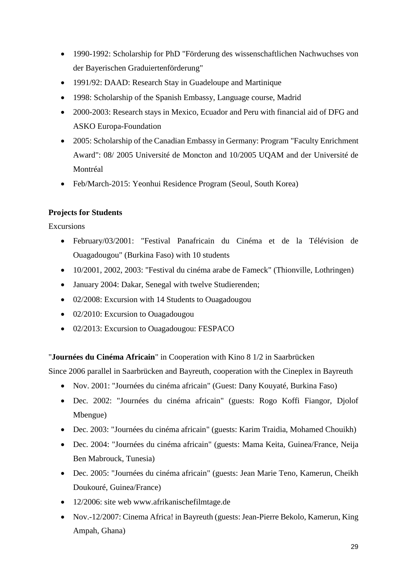- 1990-1992: Scholarship for PhD "Förderung des wissenschaftlichen Nachwuchses von der Bayerischen Graduiertenförderung"
- 1991/92: DAAD: Research Stay in Guadeloupe and Martinique
- 1998: Scholarship of the Spanish Embassy, Language course, Madrid
- 2000-2003: Research stays in Mexico, Ecuador and Peru with financial aid of DFG and ASKO Europa-Foundation
- 2005: Scholarship of the Canadian Embassy in Germany: Program "Faculty Enrichment" Award": 08/ 2005 Université de Moncton and 10/2005 UQAM and der Université de Montréal
- Feb/March-2015: Yeonhui Residence Program (Seoul, South Korea)

# **Projects for Students**

Excursions

- February/03/2001: "Festival Panafricain du Cinéma et de la Télévision de Ouagadougou" (Burkina Faso) with 10 students
- 10/2001, 2002, 2003: "Festival du cinéma arabe de Fameck" (Thionville, Lothringen)
- January 2004: Dakar, Senegal with twelve Studierenden;
- 02/2008: Excursion with 14 Students to Ouagadougou
- 02/2010: Excursion to Ouagadougou
- 02/2013: Excursion to Ouagadougou: FESPACO

"**Journées du Cinéma Africain**" in Cooperation with Kino 8 1/2 in Saarbrücken

Since 2006 parallel in Saarbrücken and Bayreuth, cooperation with the Cineplex in Bayreuth

- Nov. 2001: "Journées du cinéma africain" (Guest: Dany Kouyaté, Burkina Faso)
- Dec. 2002: "Journées du cinéma africain" (guests: Rogo Koffi Fiangor, Djolof Mbengue)
- Dec. 2003: "Journées du cinéma africain" (guests: Karim Traidia, Mohamed Chouikh)
- Dec. 2004: "Journées du cinéma africain" (guests: Mama Keita, Guinea/France, Neija Ben Mabrouck, Tunesia)
- Dec. 2005: "Journées du cinéma africain" (guests: Jean Marie Teno, Kamerun, Cheikh Doukouré, Guinea/France)
- 12/2006: site web www.afrikanischefilmtage.de
- Nov.-12/2007: Cinema Africa! in Bayreuth (guests: Jean-Pierre Bekolo, Kamerun, King Ampah, Ghana)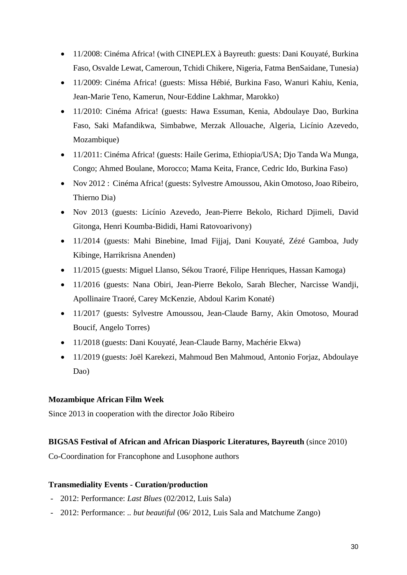- 11/2008: Cinéma Africa! (with CINEPLEX à Bayreuth: guests: Dani Kouyaté, Burkina Faso, Osvalde Lewat, Cameroun, Tchidi Chikere, Nigeria, Fatma BenSaidane, Tunesia)
- 11/2009: Cinéma Africa! (guests: Missa Hébié, Burkina Faso, Wanuri Kahiu, Kenia, Jean-Marie Teno, Kamerun, Nour-Eddine Lakhmar, Marokko)
- 11/2010: Cinéma Africa! (guests: Hawa Essuman, Kenia, Abdoulaye Dao, Burkina Faso, Saki Mafandikwa, Simbabwe, Merzak Allouache, Algeria, Licínio Azevedo, Mozambique)
- 11/2011: Cinéma Africa! (guests: Haile Gerima, Ethiopia/USA; Djo Tanda Wa Munga, Congo; Ahmed Boulane, Morocco; Mama Keita, France, Cedric Ido, Burkina Faso)
- Nov 2012 : Cinéma Africa! (guests: Sylvestre Amoussou, Akin Omotoso, Joao Ribeiro, Thierno Dia)
- Nov 2013 (guests: Licínio Azevedo, Jean-Pierre Bekolo, Richard Djimeli, David Gitonga, Henri Koumba-Bididi, Hami Ratovoarivony)
- 11/2014 (guests: Mahi Binebine, Imad Fijjaj, Dani Kouyaté, Zézé Gamboa, Judy Kibinge, Harrikrisna Anenden)
- 11/2015 (guests: Miguel Llanso, Sékou Traoré, Filipe Henriques, Hassan Kamoga)
- 11/2016 (guests: Nana Obiri, Jean-Pierre Bekolo, Sarah Blecher, Narcisse Wandji, Apollinaire Traoré, Carey McKenzie, Abdoul Karim Konaté)
- 11/2017 (guests: Sylvestre Amoussou, Jean-Claude Barny, Akin Omotoso, Mourad Boucif, Angelo Torres)
- 11/2018 (guests: Dani Kouyaté, Jean-Claude Barny, Machérie Ekwa)
- 11/2019 (guests: Joël Karekezi, Mahmoud Ben Mahmoud, Antonio Forjaz, Abdoulaye Dao)

# **Mozambique African Film Week**

Since 2013 in cooperation with the director João Ribeiro

# **BIGSAS Festival of African and African Diasporic Literatures, Bayreuth** (since 2010)

Co-Coordination for Francophone and Lusophone authors

## **Transmediality Events - Curation/production**

- 2012: Performance: *Last Blues* (02/2012, Luis Sala)
- 2012: Performance: *.. but beautiful* (06/ 2012, Luis Sala and Matchume Zango)